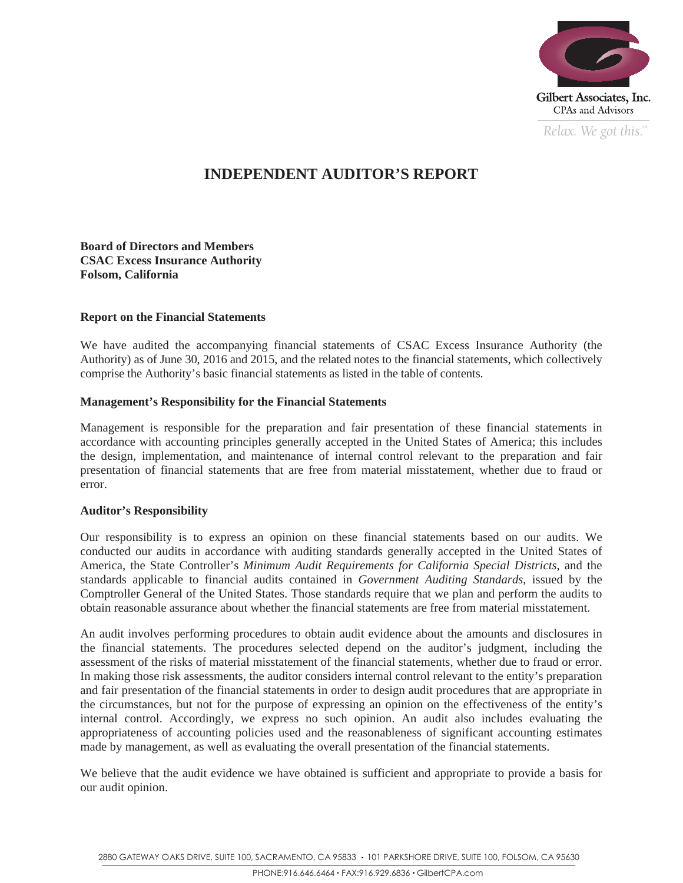

*Relax.* We got this.<sup>"</sup>

# **INDEPENDENT AUDITOR'S REPORT**

## **Board of Directors and Members CSAC Excess Insurance Authority Folsom, California**

#### **Report on the Financial Statements**

We have audited the accompanying financial statements of CSAC Excess Insurance Authority (the Authority) as of June 30, 2016 and 2015, and the related notes to the financial statements, which collectively comprise the Authority's basic financial statements as listed in the table of contents.

## **Management's Responsibility for the Financial Statements**

Management is responsible for the preparation and fair presentation of these financial statements in accordance with accounting principles generally accepted in the United States of America; this includes the design, implementation, and maintenance of internal control relevant to the preparation and fair presentation of financial statements that are free from material misstatement, whether due to fraud or error.

#### **Auditor's Responsibility**

Our responsibility is to express an opinion on these financial statements based on our audits. We conducted our audits in accordance with auditing standards generally accepted in the United States of America, the State Controller's *Minimum Audit Requirements for California Special Districts*, and the standards applicable to financial audits contained in *Government Auditing Standards*, issued by the Comptroller General of the United States. Those standards require that we plan and perform the audits to obtain reasonable assurance about whether the financial statements are free from material misstatement.

An audit involves performing procedures to obtain audit evidence about the amounts and disclosures in the financial statements. The procedures selected depend on the auditor's judgment, including the assessment of the risks of material misstatement of the financial statements, whether due to fraud or error. In making those risk assessments, the auditor considers internal control relevant to the entity's preparation and fair presentation of the financial statements in order to design audit procedures that are appropriate in the circumstances, but not for the purpose of expressing an opinion on the effectiveness of the entity's internal control. Accordingly, we express no such opinion. An audit also includes evaluating the appropriateness of accounting policies used and the reasonableness of significant accounting estimates made by management, as well as evaluating the overall presentation of the financial statements.

We believe that the audit evidence we have obtained is sufficient and appropriate to provide a basis for our audit opinion.

2880 GATEWAY OAKS DRIVE, SUITE 100, SACRAMENTO, CA 95833 · 101 PARKSHORE DRIVE, SUITE 100, FOLSOM, CA 95630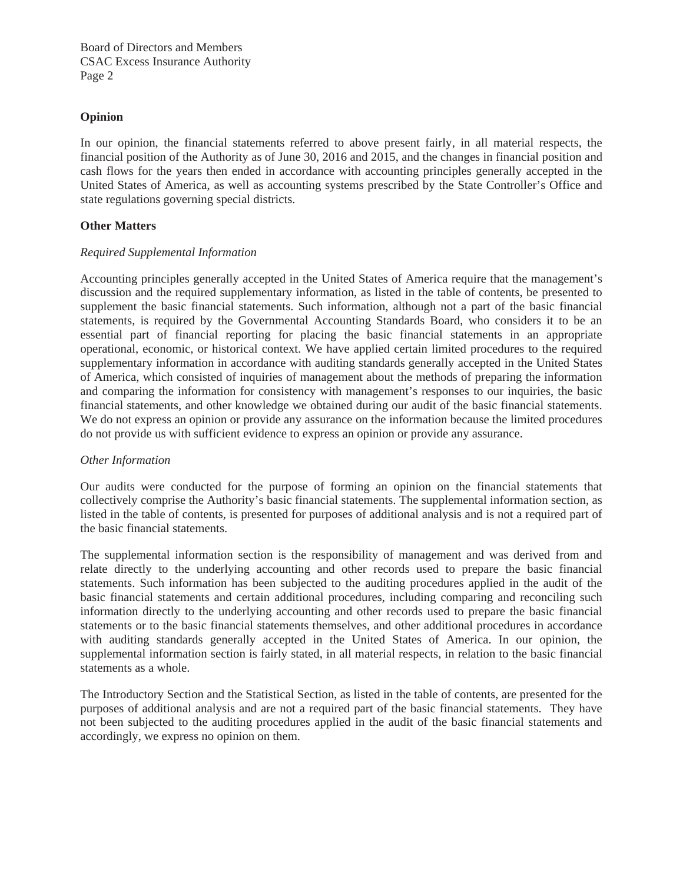Board of Directors and Members CSAC Excess Insurance Authority Page 2

## **Opinion**

In our opinion, the financial statements referred to above present fairly, in all material respects, the financial position of the Authority as of June 30, 2016 and 2015, and the changes in financial position and cash flows for the years then ended in accordance with accounting principles generally accepted in the United States of America, as well as accounting systems prescribed by the State Controller's Office and state regulations governing special districts.

## **Other Matters**

## *Required Supplemental Information*

Accounting principles generally accepted in the United States of America require that the management's discussion and the required supplementary information, as listed in the table of contents, be presented to supplement the basic financial statements. Such information, although not a part of the basic financial statements, is required by the Governmental Accounting Standards Board, who considers it to be an essential part of financial reporting for placing the basic financial statements in an appropriate operational, economic, or historical context. We have applied certain limited procedures to the required supplementary information in accordance with auditing standards generally accepted in the United States of America, which consisted of inquiries of management about the methods of preparing the information and comparing the information for consistency with management's responses to our inquiries, the basic financial statements, and other knowledge we obtained during our audit of the basic financial statements. We do not express an opinion or provide any assurance on the information because the limited procedures do not provide us with sufficient evidence to express an opinion or provide any assurance.

# *Other Information*

Our audits were conducted for the purpose of forming an opinion on the financial statements that collectively comprise the Authority's basic financial statements. The supplemental information section, as listed in the table of contents, is presented for purposes of additional analysis and is not a required part of the basic financial statements.

The supplemental information section is the responsibility of management and was derived from and relate directly to the underlying accounting and other records used to prepare the basic financial statements. Such information has been subjected to the auditing procedures applied in the audit of the basic financial statements and certain additional procedures, including comparing and reconciling such information directly to the underlying accounting and other records used to prepare the basic financial statements or to the basic financial statements themselves, and other additional procedures in accordance with auditing standards generally accepted in the United States of America. In our opinion, the supplemental information section is fairly stated, in all material respects, in relation to the basic financial statements as a whole.

The Introductory Section and the Statistical Section, as listed in the table of contents, are presented for the purposes of additional analysis and are not a required part of the basic financial statements. They have not been subjected to the auditing procedures applied in the audit of the basic financial statements and accordingly, we express no opinion on them.